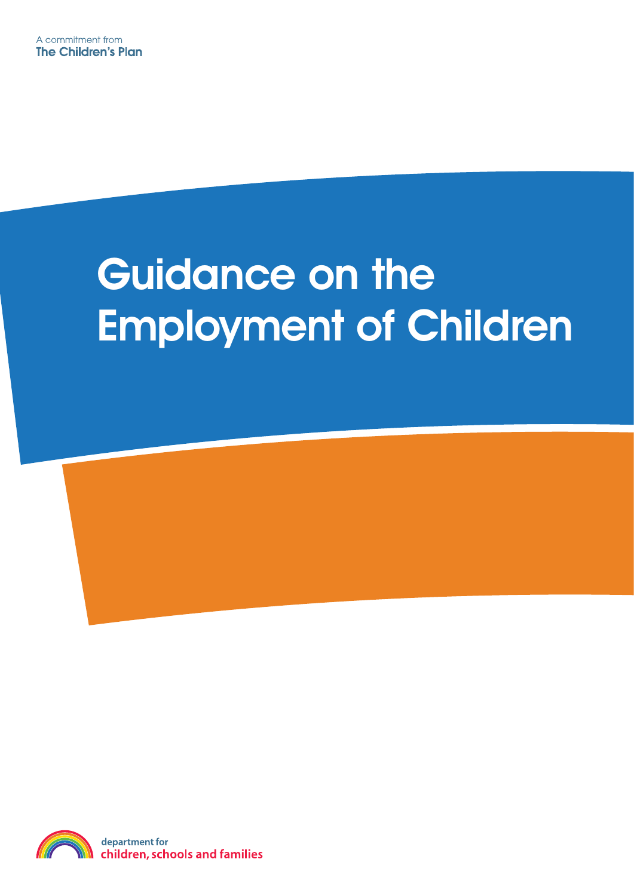# Guidance on the Employment of Children

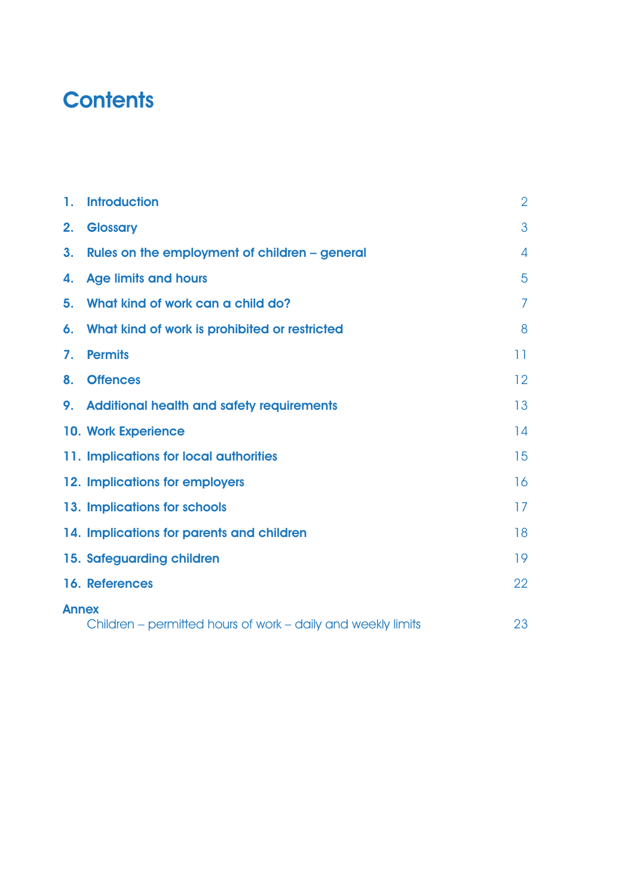# **Contents**

| 1.             | <b>Introduction</b>                                          | $\overline{2}$  |
|----------------|--------------------------------------------------------------|-----------------|
| 2.             | <b>Glossary</b>                                              | $\mathbf{3}$    |
| 3 <sub>1</sub> | Rules on the employment of children - general                | $\overline{4}$  |
| 4.             | <b>Age limits and hours</b>                                  | 5               |
| 5.             | What kind of work can a child do?                            | $\overline{7}$  |
|                | 6. What kind of work is prohibited or restricted             | 8               |
| 7.             | <b>Permits</b>                                               | 11.             |
| 8.             | <b>Offences</b>                                              | 12 <sup>°</sup> |
|                | 9. Additional health and safety requirements                 | 13              |
|                | <b>10. Work Experience</b>                                   | 14              |
|                | 11. Implications for local authorities                       | 15              |
|                | 12. Implications for employers                               | 16              |
|                | 13. Implications for schools                                 | 17              |
|                | 14. Implications for parents and children                    | 18              |
|                | 15. Safeguarding children                                    | 19              |
|                | 16. References                                               | 22              |
| <b>Annex</b>   | Children – permitted hours of work – daily and weekly limits | 23              |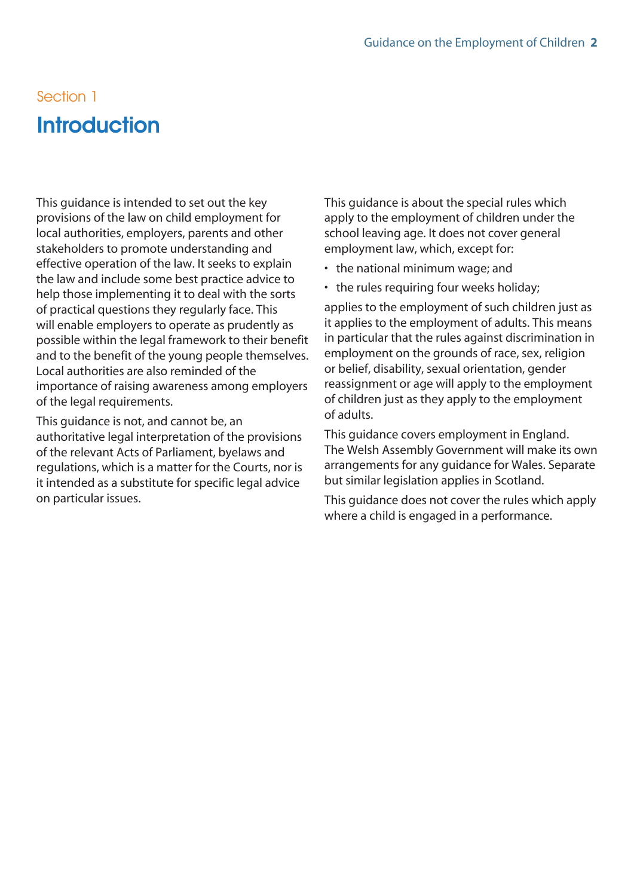# <span id="page-2-0"></span>Section 1 **Introduction**

This guidance is intended to set out the key provisions of the law on child employment for local authorities, employers, parents and other stakeholders to promote understanding and effective operation of the law. It seeks to explain the law and include some best practice advice to help those implementing it to deal with the sorts of practical questions they regularly face. This will enable employers to operate as prudently as possible within the legal framework to their benefit and to the benefit of the young people themselves. Local authorities are also reminded of the importance of raising awareness among employers of the legal requirements.

This guidance is not, and cannot be, an authoritative legal interpretation of the provisions of the relevant Acts of Parliament, byelaws and regulations, which is a matter for the Courts, nor is it intended as a substitute for specific legal advice on particular issues.

This guidance is about the special rules which apply to the employment of children under the school leaving age. It does not cover general employment law, which, except for:

- the national minimum wage; and
- the rules requiring four weeks holiday;

applies to the employment of such children just as it applies to the employment of adults. This means in particular that the rules against discrimination in employment on the grounds of race, sex, religion or belief, disability, sexual orientation, gender reassignment or age will apply to the employment of children just as they apply to the employment of adults.

This guidance covers employment in England. The Welsh Assembly Government will make its own arrangements for any guidance for Wales. Separate but similar legislation applies in Scotland.

This guidance does not cover the rules which apply where a child is engaged in a performance.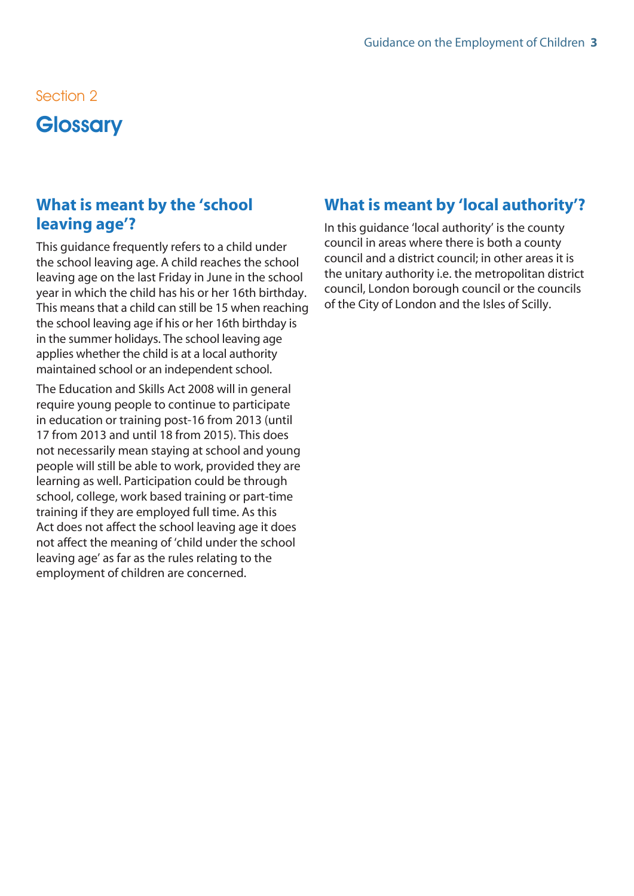# <span id="page-3-0"></span>Section 2 **Glossary**

### **What is meant by the 'school leaving age'?**

This guidance frequently refers to a child under the school leaving age. A child reaches the school leaving age on the last Friday in June in the school year in which the child has his or her 16th birthday. This means that a child can still be 15 when reaching the school leaving age if his or her 16th birthday is in the summer holidays. The school leaving age applies whether the child is at a local authority maintained school or an independent school.

The Education and Skills Act 2008 will in general require young people to continue to participate in education or training post-16 from 2013 (until 17 from 2013 and until 18 from 2015). This does not necessarily mean staying at school and young people will still be able to work, provided they are learning as well. Participation could be through school, college, work based training or part-time training if they are employed full time. As this Act does not affect the school leaving age it does not affect the meaning of 'child under the school leaving age' as far as the rules relating to the employment of children are concerned.

### **What is meant by 'local authority'?**

In this guidance 'local authority' is the county council in areas where there is both a county council and a district council; in other areas it is the unitary authority i.e. the metropolitan district council, London borough council or the councils of the City of London and the Isles of Scilly.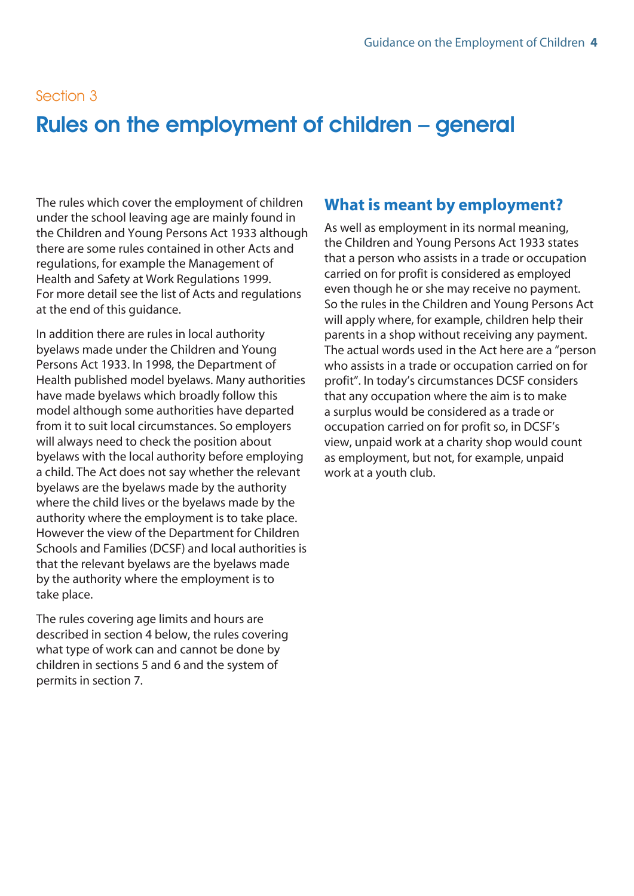# <span id="page-4-0"></span>Rules on the employment of children – general

The rules which cover the employment of children under the school leaving age are mainly found in the Children and Young Persons Act 1933 although there are some rules contained in other Acts and regulations, for example the Management of Health and Safety at Work Regulations 1999. For more detail see the list of Acts and regulations at the end of this guidance.

In addition there are rules in local authority byelaws made under the Children and Young Persons Act 1933. In 1998, the Department of Health published model byelaws. Many authorities have made byelaws which broadly follow this model although some authorities have departed from it to suit local circumstances. So employers will always need to check the position about byelaws with the local authority before employing a child. The Act does not say whether the relevant byelaws are the byelaws made by the authority where the child lives or the byelaws made by the authority where the employment is to take place. However the view of the Department for Children Schools and Families (DCSF) and local authorities is that the relevant byelaws are the byelaws made by the authority where the employment is to take place.

The rules covering age limits and hours are described in section 4 below, the rules covering what type of work can and cannot be done by children in sections 5 and 6 and the system of permits in section 7.

#### **What is meant by employment?**

As well as employment in its normal meaning, the Children and Young Persons Act 1933 states that a person who assists in a trade or occupation carried on for profit is considered as employed even though he or she may receive no payment. So the rules in the Children and Young Persons Act will apply where, for example, children help their parents in a shop without receiving any payment. The actual words used in the Act here are a "person who assists in a trade or occupation carried on for profit". In today's circumstances DCSF considers that any occupation where the aim is to make a surplus would be considered as a trade or occupation carried on for profit so, in DCSF's view, unpaid work at a charity shop would count as employment, but not, for example, unpaid work at a youth club.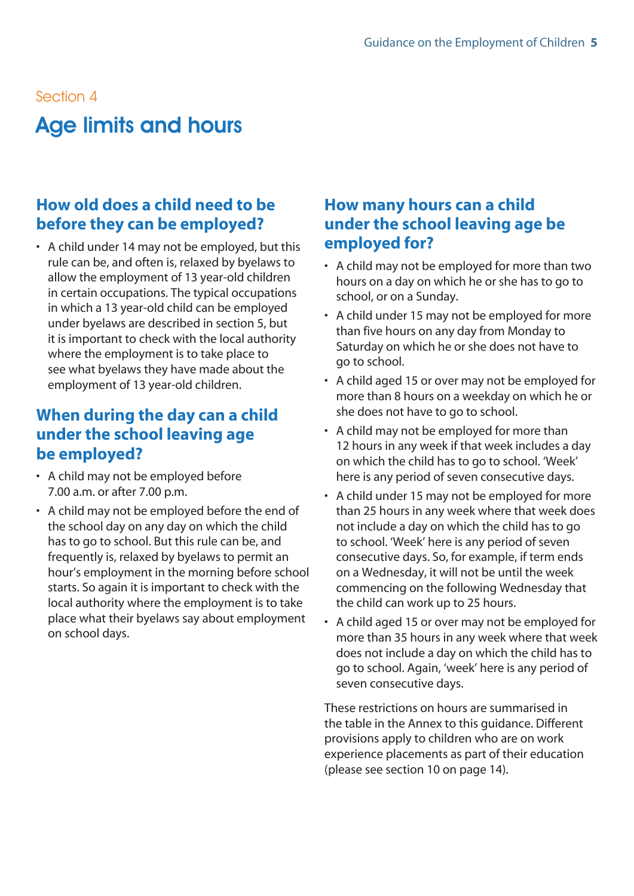# <span id="page-5-0"></span>Age limits and hours

### **How old does a child need to be before they can be employed?**

• A child under 14 may not be employed, but this rule can be, and often is, relaxed by byelaws to allow the employment of 13 year-old children in certain occupations. The typical occupations in which a 13 year-old child can be employed under byelaws are described in section 5, but it is important to check with the local authority where the employment is to take place to see what byelaws they have made about the employment of 13 year-old children.

#### **When during the day can a child under the school leaving age be employed?**

- A child may not be employed before 7.00 a.m. or after 7.00 p.m.
- A child may not be employed before the end of the school day on any day on which the child has to go to school. But this rule can be, and frequently is, relaxed by byelaws to permit an hour's employment in the morning before school starts. So again it is important to check with the local authority where the employment is to take place what their byelaws say about employment on school days.

### **How many hours can a child under the school leaving age be employed for?**

- A child may not be employed for more than two hours on a day on which he or she has to go to school, or on a Sunday.
- A child under 15 may not be employed for more than five hours on any day from Monday to Saturday on which he or she does not have to go to school.
- A child aged 15 or over may not be employed for more than 8 hours on a weekday on which he or she does not have to go to school.
- A child may not be employed for more than 12 hours in any week if that week includes a day on which the child has to go to school. 'Week' here is any period of seven consecutive days.
- A child under 15 may not be employed for more than 25 hours in any week where that week does not include a day on which the child has to go to school. 'Week' here is any period of seven consecutive days. So, for example, if term ends on a Wednesday, it will not be until the week commencing on the following Wednesday that the child can work up to 25 hours.
- A child aged 15 or over may not be employed for more than 35 hours in any week where that week does not include a day on which the child has to go to school. Again, 'week' here is any period of seven consecutive days.

These restrictions on hours are summarised in the table in the Annex to this guidance. Different provisions apply to children who are on work experience placements as part of their education (please see section 10 o[n page 14\).](#page-14-0)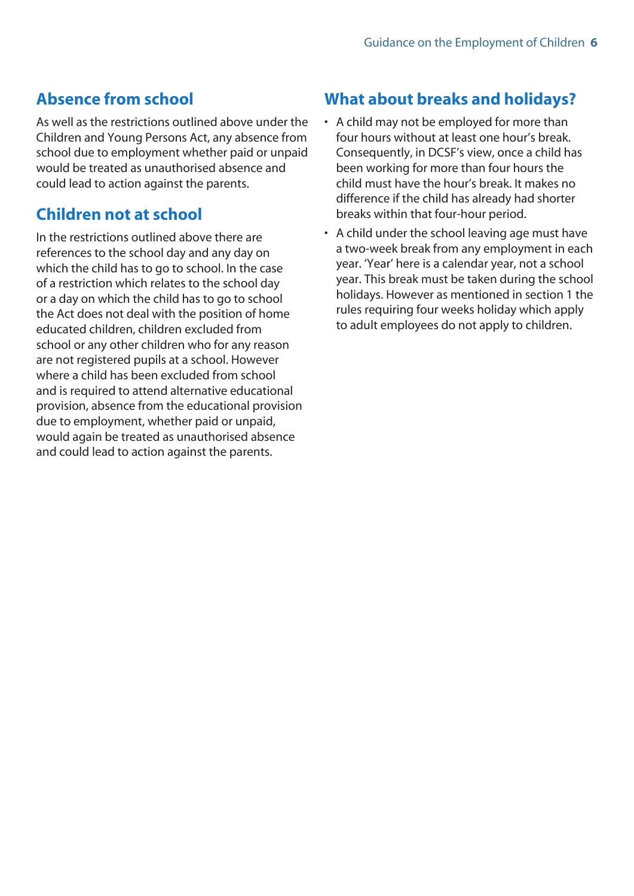### **Absence from school**

As well as the restrictions outlined above under the Children and Young Persons Act, any absence from school due to employment whether paid or unpaid would be treated as unauthorised absence and could lead to action against the parents.

### **Children not at school**

In the restrictions outlined above there are references to the school day and any day on which the child has to go to school. In the case of a restriction which relates to the school day or a day on which the child has to go to school the Act does not deal with the position of home educated children, children excluded from school or any other children who for any reason are not registered pupils at a school. However where a child has been excluded from school and is required to attend alternative educational provision, absence from the educational provision due to employment, whether paid or unpaid, would again be treated as unauthorised absence and could lead to action against the parents.

### **What about breaks and holidays?**

- A child may not be employed for more than four hours without at least one hour's break. Consequently, in DCSF's view, once a child has been working for more than four hours the child must have the hour's break. It makes no difference if the child has already had shorter breaks within that four-hour period.
- A child under the school leaving age must have a two-week break from any employment in each year. 'Year' here is a calendar year, not a school year. This break must be taken during the school holidays. However as mentioned in section 1 the rules requiring four weeks holiday which apply to adult employees do not apply to children.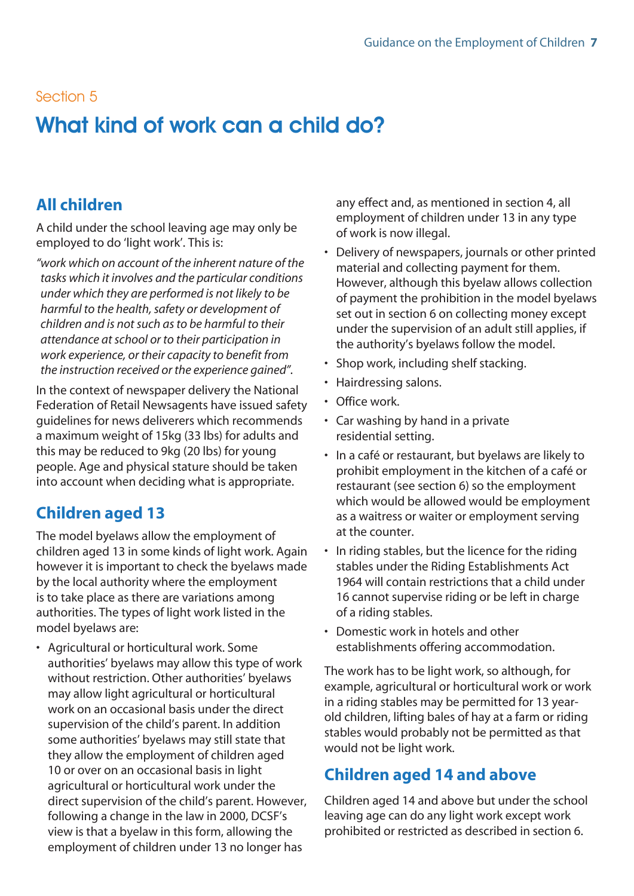# <span id="page-7-0"></span>What kind of work can a child do?

### **All children**

A child under the school leaving age may only be employed to do 'light work'. This is:

*" work which on account of the inherent nature of the tasks which it involves and the particular conditions under which they are performed is not likely to be harmful to the health, safety or development of children and is not such as to be harmful to their attendance at school or to their participation in work experience, or their capacity to benefit from the instruction received or the experience gained".*

In the context of newspaper delivery the National Federation of Retail Newsagents have issued safety guidelines for news deliverers which recommends a maximum weight of 15kg (33 lbs) for adults and this may be reduced to 9kg (20 lbs) for young people. Age and physical stature should be taken into account when deciding what is appropriate.

### **Children aged 13**

The model byelaws allow the employment of children aged 13 in some kinds of light work. Again however it is important to check the byelaws made by the local authority where the employment is to take place as there are variations among authorities. The types of light work listed in the model byelaws are:

• Agricultural or horticultural work. Some authorities' byelaws may allow this type of work without restriction. Other authorities' byelaws may allow light agricultural or horticultural work on an occasional basis under the direct supervision of the child's parent. In addition some authorities' byelaws may still state that they allow the employment of children aged 10 or over on an occasional basis in light agricultural or horticultural work under the direct supervision of the child's parent. However, following a change in the law in 2000, DCSF's view is that a byelaw in this form, allowing the employment of children under 13 no longer has

any effect and, as mentioned in section 4, all employment of children under 13 in any type of work is now illegal.

- Delivery of newspapers, journals or other printed material and collecting payment for them. However, although this byelaw allows collection of payment the prohibition in the model byelaws set out in section 6 on collecting money except under the supervision of an adult still applies, if the authority's byelaws follow the model.
- Shop work, including shelf stacking.
- Hairdressing salons.
- Office work.
- Car washing by hand in a private residential setting.
- In a café or restaurant, but byelaws are likely to prohibit employment in the kitchen of a café or restaurant (see section 6) so the employment which would be allowed would be employment as a waitress or waiter or employment serving at the counter.
- In riding stables, but the licence for the riding stables under the Riding Establishments Act 1964 will contain restrictions that a child under 16 cannot supervise riding or be left in charge of a riding stables.
- Domestic work in hotels and other establishments offering accommodation.

The work has to be light work, so although, for example, agricultural or horticultural work or work in a riding stables may be permitted for 13 yearold children, lifting bales of hay at a farm or riding stables would probably not be permitted as that would not be light work.

### **Children aged 14 and above**

Children aged 14 and above but under the school leaving age can do any light work except work prohibited or restricted as described in section 6.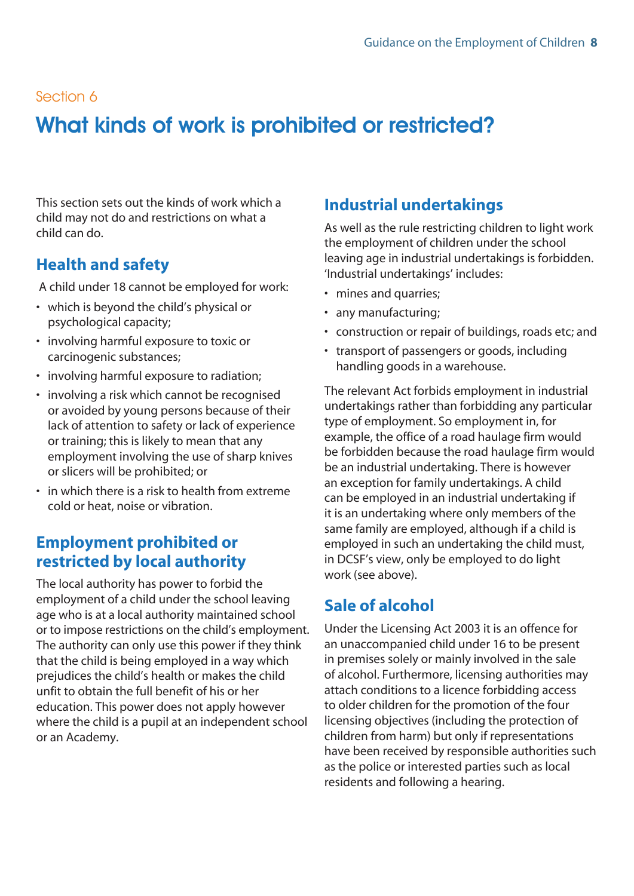# <span id="page-8-0"></span>What kinds of work is prohibited or restricted?

This section sets out the kinds of work which a child may not do and restrictions on what a child can do.

#### **Health and safety**

A child under 18 cannot be employed for work:

- which is beyond the child's physical or psychological capacity;
- involving harmful exposure to toxic or carcinogenic substances;
- involving harmful exposure to radiation;
- involving a risk which cannot be recognised or avoided by young persons because of their lack of attention to safety or lack of experience or training; this is likely to mean that any employment involving the use of sharp knives or slicers will be prohibited; or
- in which there is a risk to health from extreme cold or heat, noise or vibration.

#### **Employment prohibited or restricted by local authority**

The local authority has power to forbid the employment of a child under the school leaving age who is at a local authority maintained school or to impose restrictions on the child's employment. The authority can only use this power if they think that the child is being employed in a way which prejudices the child's health or makes the child unfit to obtain the full benefit of his or her education. This power does not apply however where the child is a pupil at an independent school or an Academy.

#### **Industrial undertakings**

As well as the rule restricting children to light work the employment of children under the school leaving age in industrial undertakings is forbidden. 'Industrial undertakings' includes:

- mines and quarries;
- any manufacturing;
- construction or repair of buildings, roads etc; and
- transport of passengers or goods, including handling goods in a warehouse.

The relevant Act forbids employment in industrial undertakings rather than forbidding any particular type of employment. So employment in, for example, the office of a road haulage firm would be forbidden because the road haulage firm would be an industrial undertaking. There is however an exception for family undertakings. A child can be employed in an industrial undertaking if it is an undertaking where only members of the same family are employed, although if a child is employed in such an undertaking the child must, in DCSF's view, only be employed to do light work (see above).

#### **Sale of alcohol**

Under the Licensing Act 2003 it is an offence for an unaccompanied child under 16 to be present in premises solely or mainly involved in the sale of alcohol. Furthermore, licensing authorities may attach conditions to a licence forbidding access to older children for the promotion of the four licensing objectives (including the protection of children from harm) but only if representations have been received by responsible authorities such as the police or interested parties such as local residents and following a hearing.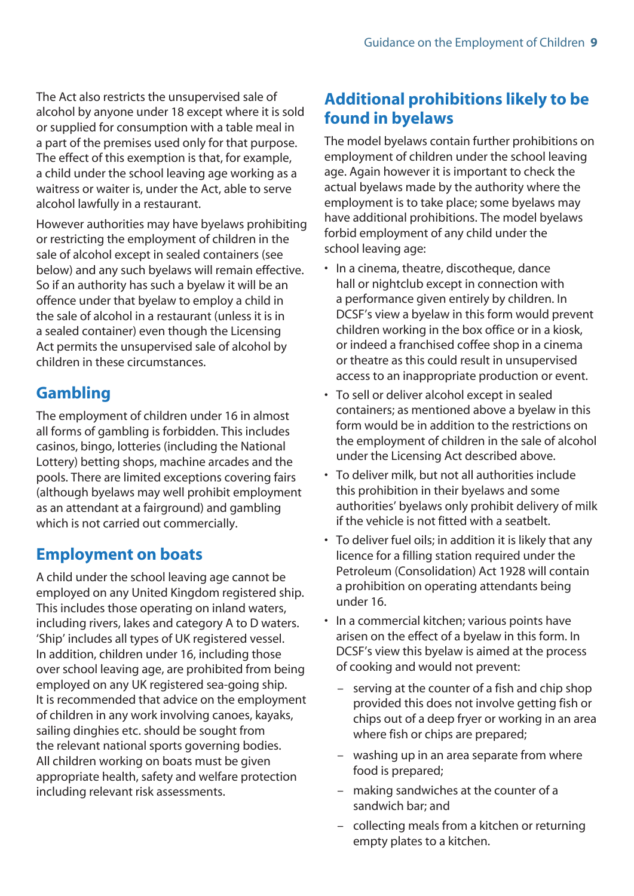The Act also restricts the unsupervised sale of alcohol by anyone under 18 except where it is sold or supplied for consumption with a table meal in a part of the premises used only for that purpose. The effect of this exemption is that, for example, a child under the school leaving age working as a waitress or waiter is, under the Act, able to serve alcohol lawfully in a restaurant.

However authorities may have byelaws prohibiting or restricting the employment of children in the sale of alcohol except in sealed containers (see below) and any such byelaws will remain effective. So if an authority has such a byelaw it will be an offence under that byelaw to employ a child in the sale of alcohol in a restaurant (unless it is in a sealed container) even though the Licensing Act permits the unsupervised sale of alcohol by children in these circumstances.

### **Gambling**

The employment of children under 16 in almost all forms of gambling is forbidden. This includes casinos, bingo, lotteries (including the National Lottery) betting shops, machine arcades and the pools. There are limited exceptions covering fairs (although byelaws may well prohibit employment as an attendant at a fairground) and gambling which is not carried out commercially.

### **Employment on boats**

A child under the school leaving age cannot be employed on any United Kingdom registered ship. This includes those operating on inland waters, including rivers, lakes and category A to D waters. 'Ship' includes all types of UK registered vessel. In addition, children under 16, including those over school leaving age, are prohibited from being employed on any UK registered sea-going ship. It is recommended that advice on the employment of children in any work involving canoes, kayaks, sailing dinghies etc. should be sought from the relevant national sports governing bodies. All children working on boats must be given appropriate health, safety and welfare protection including relevant risk assessments.

### **Additional prohibitions likely to be found in byelaws**

The model byelaws contain further prohibitions on employment of children under the school leaving age. Again however it is important to check the actual byelaws made by the authority where the employment is to take place; some byelaws may have additional prohibitions. The model byelaws forbid employment of any child under the school leaving age:

- In a cinema, theatre, discotheque, dance hall or nightclub except in connection with a performance given entirely by children. In DCSF's view a byelaw in this form would prevent children working in the box office or in a kiosk, or indeed a franchised coffee shop in a cinema or theatre as this could result in unsupervised access to an inappropriate production or event.
- To sell or deliver alcohol except in sealed containers; as mentioned above a byelaw in this form would be in addition to the restrictions on the employment of children in the sale of alcohol under the Licensing Act described above.
- To deliver milk, but not all authorities include this prohibition in their byelaws and some authorities' byelaws only prohibit delivery of milk if the vehicle is not fitted with a seatbelt.
- To deliver fuel oils; in addition it is likely that any licence for a filling station required under the Petroleum (Consolidation) Act 1928 will contain a prohibition on operating attendants being under 16.
- In a commercial kitchen; various points have arisen on the effect of a byelaw in this form. In DCSF's view this byelaw is aimed at the process of cooking and would not prevent:
	- serving at the counter of a fish and chip shop provided this does not involve getting fish or chips out of a deep fryer or working in an area where fish or chips are prepared;
	- washing up in an area separate from where food is prepared;
	- making sandwiches at the counter of a sandwich bar; and
	- collecting meals from a kitchen or returning empty plates to a kitchen.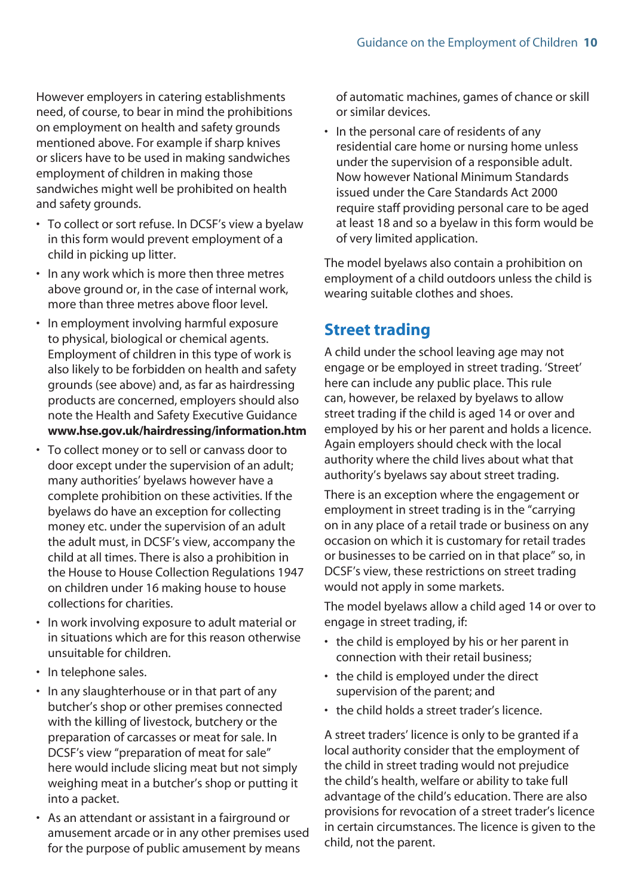However employers in catering establishments need, of course, to bear in mind the prohibitions on employment on health and safety grounds mentioned above. For example if sharp knives or slicers have to be used in making sandwiches employment of children in making those sandwiches might well be prohibited on health and safety grounds.

- To collect or sort refuse. In DCSF's view a byelaw in this form would prevent employment of a child in picking up litter.
- In any work which is more then three metres above ground or, in the case of internal work, more than three metres above floor level.
- In employment involving harmful exposure to physical, biological or chemical agents. Employment of children in this type of work is also likely to be forbidden on health and safety grounds (see above) and, as far as hairdressing products are concerned, employers should also note the Health and Safety Executive Guidance **[www.hse.gov.uk/hairdressing/information.htm](http://www.hse.gov.uk/hairdressing/information.htm)**
- To collect money or to sell or canvass door to door except under the supervision of an adult; many authorities' byelaws however have a complete prohibition on these activities. If the byelaws do have an exception for collecting money etc. under the supervision of an adult the adult must, in DCSF's view, accompany the child at all times. There is also a prohibition in the House to House Collection Regulations 1947 on children under 16 making house to house collections for charities.
- In work involving exposure to adult material or in situations which are for this reason otherwise unsuitable for children.
- In telephone sales.
- In any slaughterhouse or in that part of any butcher's shop or other premises connected with the killing of livestock, butchery or the preparation of carcasses or meat for sale. In DCSF's view "preparation of meat for sale" here would include slicing meat but not simply weighing meat in a butcher's shop or putting it into a packet.
- As an attendant or assistant in a fairground or amusement arcade or in any other premises used for the purpose of public amusement by means

of automatic machines, games of chance or skill or similar devices.

• In the personal care of residents of any residential care home or nursing home unless under the supervision of a responsible adult. Now however National Minimum Standards issued under the Care Standards Act 2000 require staff providing personal care to be aged at least 18 and so a byelaw in this form would be of very limited application.

The model byelaws also contain a prohibition on employment of a child outdoors unless the child is wearing suitable clothes and shoes.

### **Street trading**

A child under the school leaving age may not engage or be employed in street trading. 'Street' here can include any public place. This rule can, however, be relaxed by byelaws to allow street trading if the child is aged 14 or over and employed by his or her parent and holds a licence. Again employers should check with the local authority where the child lives about what that authority's byelaws say about street trading.

There is an exception where the engagement or employment in street trading is in the "carrying on in any place of a retail trade or business on any occasion on which it is customary for retail trades or businesses to be carried on in that place" so, in DCSF's view, these restrictions on street trading would not apply in some markets.

The model byelaws allow a child aged 14 or over to engage in street trading, if:

- the child is employed by his or her parent in connection with their retail business;
- the child is employed under the direct supervision of the parent; and
- the child holds a street trader's licence.

A street traders' licence is only to be granted if a local authority consider that the employment of the child in street trading would not prejudice the child's health, welfare or ability to take full advantage of the child's education. There are also provisions for revocation of a street trader's licence in certain circumstances. The licence is given to the child, not the parent.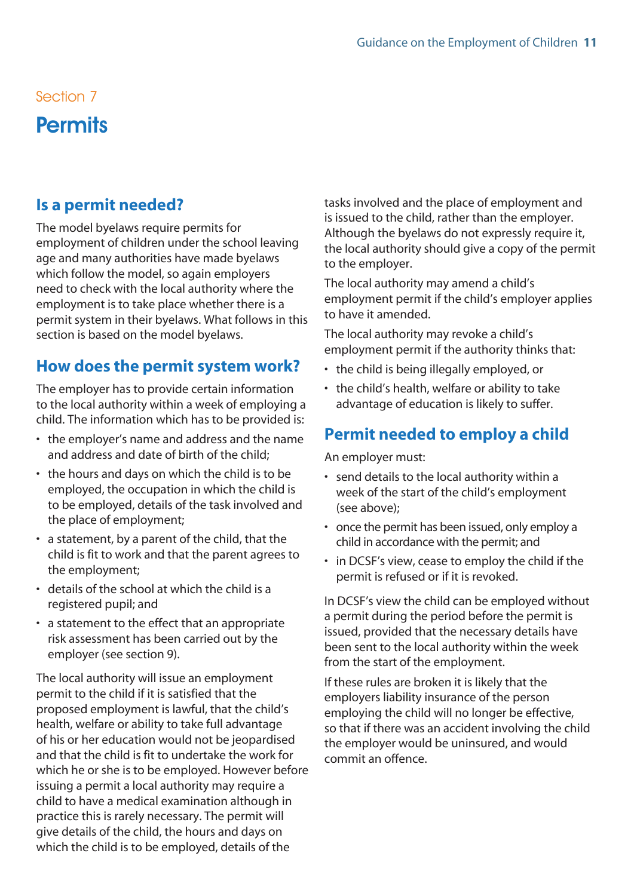# <span id="page-11-0"></span>Section 7 **Permits**

#### **Is a permit needed?**

The model byelaws require permits for employment of children under the school leaving age and many authorities have made byelaws which follow the model, so again employers need to check with the local authority where the employment is to take place whether there is a permit system in their byelaws. What follows in this section is based on the model byelaws.

#### **How does the permit system work?**

The employer has to provide certain information to the local authority within a week of employing a child. The information which has to be provided is:

- the employer's name and address and the name and address and date of birth of the child;
- the hours and days on which the child is to be employed, the occupation in which the child is to be employed, details of the task involved and the place of employment;
- a statement, by a parent of the child, that the child is fit to work and that the parent agrees to the employment;
- details of the school at which the child is a registered pupil; and
- a statement to the effect that an appropriate risk assessment has been carried out by the employer (see section 9).

The local authority will issue an employment permit to the child if it is satisfied that the proposed employment is lawful, that the child's health, welfare or ability to take full advantage of his or her education would not be jeopardised and that the child is fit to undertake the work for which he or she is to be employed. However before issuing a permit a local authority may require a child to have a medical examination although in practice this is rarely necessary. The permit will give details of the child, the hours and days on which the child is to be employed, details of the

tasks involved and the place of employment and is issued to the child, rather than the employer. Although the byelaws do not expressly require it, the local authority should give a copy of the permit to the employer.

The local authority may amend a child's employment permit if the child's employer applies to have it amended.

The local authority may revoke a child's employment permit if the authority thinks that:

- the child is being illegally employed, or
- the child's health, welfare or ability to take advantage of education is likely to suffer.

### **Permit needed to employ a child**

An employer must:

- send details to the local authority within a week of the start of the child's employment (see above);
- once the permit has been issued, only employ a child in accordance with the permit; and
- in DCSF's view, cease to employ the child if the permit is refused or if it is revoked.

In DCSF's view the child can be employed without a permit during the period before the permit is issued, provided that the necessary details have been sent to the local authority within the week from the start of the employment.

If these rules are broken it is likely that the employers liability insurance of the person employing the child will no longer be effective, so that if there was an accident involving the child the employer would be uninsured, and would commit an offence.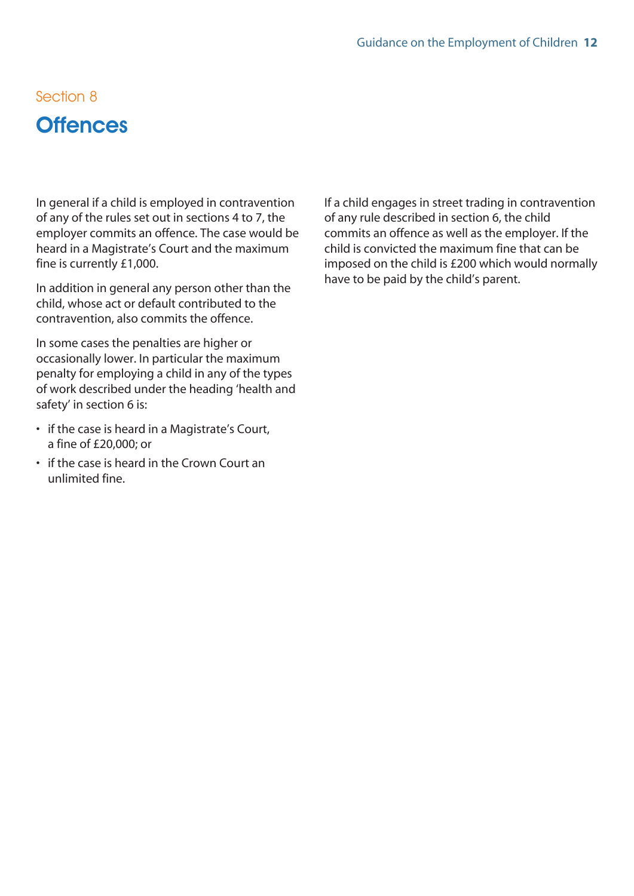# <span id="page-12-0"></span>Section 8 **Offences**

In general if a child is employed in contravention of any of the rules set out in sections 4 to 7, the employer commits an offence. The case would be heard in a Magistrate's Court and the maximum fine is currently £1,000.

In addition in general any person other than the child, whose act or default contributed to the contravention, also commits the offence.

In some cases the penalties are higher or occasionally lower. In particular the maximum penalty for employing a child in any of the types of work described under the heading 'health and safety' in section 6 is:

- if the case is heard in a Magistrate's Court, a fine of £20,000; or
- if the case is heard in the Crown Court an unlimited fine.

If a child engages in street trading in contravention of any rule described in section 6, the child commits an offence as well as the employer. If the child is convicted the maximum fine that can be imposed on the child is £200 which would normally have to be paid by the child's parent.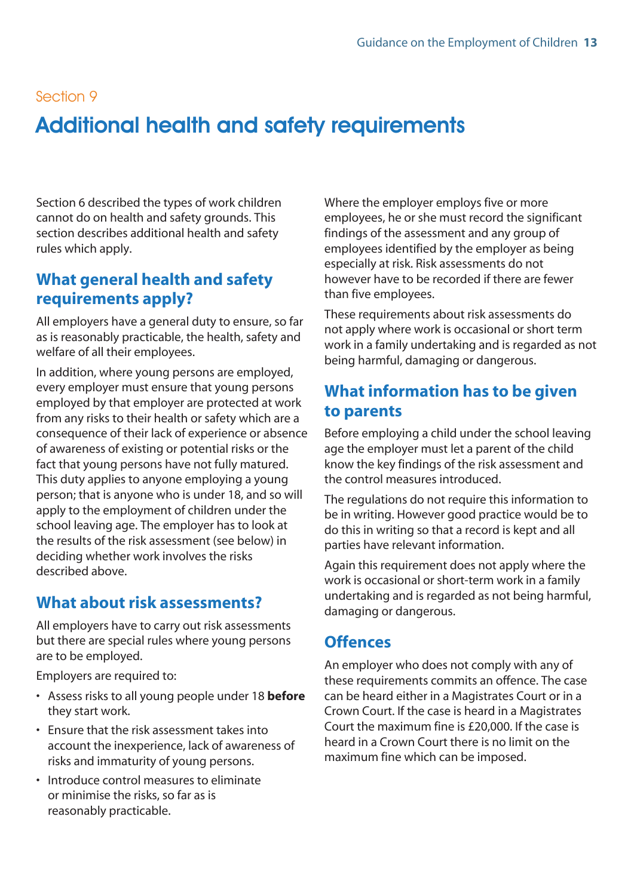# <span id="page-13-0"></span>Additional health and safety requirements

Section 6 described the types of work children cannot do on health and safety grounds. This section describes additional health and safety rules which apply.

### **What general health and safety requirements apply?**

All employers have a general duty to ensure, so far as is reasonably practicable, the health, safety and welfare of all their employees.

In addition, where young persons are employed, every employer must ensure that young persons employed by that employer are protected at work from any risks to their health or safety which are a consequence of their lack of experience or absence of awareness of existing or potential risks or the fact that young persons have not fully matured. This duty applies to anyone employing a young person; that is anyone who is under 18, and so will apply to the employment of children under the school leaving age. The employer has to look at the results of the risk assessment (see below) in deciding whether work involves the risks described above.

#### **What about risk assessments?**

All employers have to carry out risk assessments but there are special rules where young persons are to be employed.

Employers are required to:

- Assess risks to all young people under 18 **before** they start work.
- Ensure that the risk assessment takes into account the inexperience, lack of awareness of risks and immaturity of young persons.
- Introduce control measures to eliminate or minimise the risks, so far as is reasonably practicable.

Where the employer employs five or more employees, he or she must record the significant findings of the assessment and any group of employees identified by the employer as being especially at risk. Risk assessments do not however have to be recorded if there are fewer than five employees.

These requirements about risk assessments do not apply where work is occasional or short term work in a family undertaking and is regarded as not being harmful, damaging or dangerous.

### **What information has to be given to parents**

Before employing a child under the school leaving age the employer must let a parent of the child know the key findings of the risk assessment and the control measures introduced.

The regulations do not require this information to be in writing. However good practice would be to do this in writing so that a record is kept and all parties have relevant information.

Again this requirement does not apply where the work is occasional or short-term work in a family undertaking and is regarded as not being harmful, damaging or dangerous.

#### **Offences**

An employer who does not comply with any of these requirements commits an offence. The case can be heard either in a Magistrates Court or in a Crown Court. If the case is heard in a Magistrates Court the maximum fine is £20,000. If the case is heard in a Crown Court there is no limit on the maximum fine which can be imposed.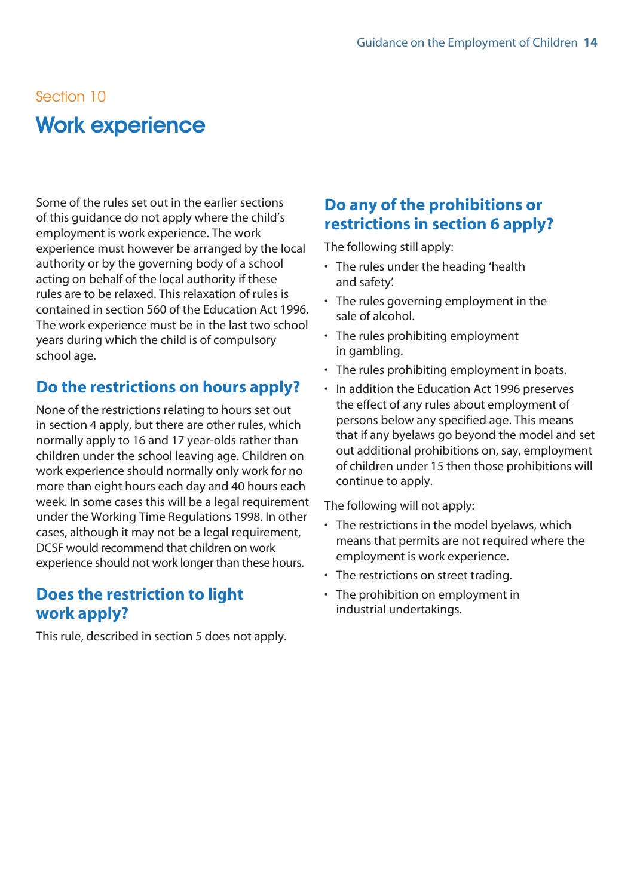# <span id="page-14-0"></span>Section 10 Work experience

Some of the rules set out in the earlier sections of this guidance do not apply where the child's employment is work experience. The work experience must however be arranged by the local authority or by the governing body of a school acting on behalf of the local authority if these rules are to be relaxed. This relaxation of rules is contained in section 560 of the Education Act 1996. The work experience must be in the last two school years during which the child is of compulsory school age.

### **Do the restrictions on hours apply?**

None of the restrictions relating to hours set out in section 4 apply, but there are other rules, which normally apply to 16 and 17 year-olds rather than children under the school leaving age. Children on work experience should normally only work for no more than eight hours each day and 40 hours each week. In some cases this will be a legal requirement under the Working Time Regulations 1998. In other cases, although it may not be a legal requirement, DCSF would recommend that children on work experience should not work longer than these hours.

### **Does the restriction to light work apply?**

This rule, described in section 5 does not apply.

### **Do any of the prohibitions or restrictions in section 6 apply?**

The following still apply:

- The rules under the heading 'health and safety'.
- The rules governing employment in the sale of alcohol.
- The rules prohibiting employment in gambling.
- The rules prohibiting employment in boats.
- In addition the Education Act 1996 preserves the effect of any rules about employment of persons below any specified age. This means that if any byelaws go beyond the model and set out additional prohibitions on, say, employment of children under 15 then those prohibitions will continue to apply.

The following will not apply:

- The restrictions in the model byelaws, which means that permits are not required where the employment is work experience.
- The restrictions on street trading.
- The prohibition on employment in industrial undertakings.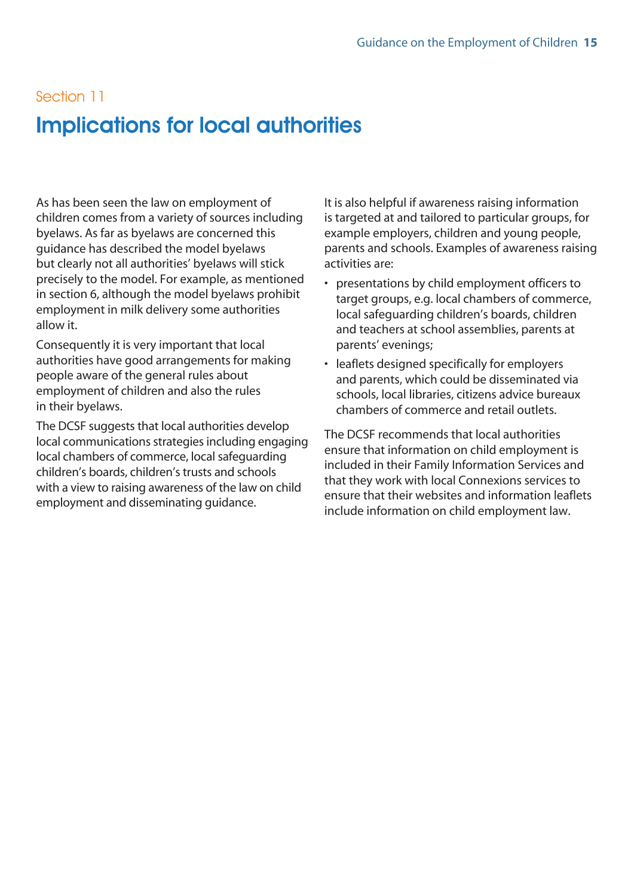# <span id="page-15-0"></span>Implications for local authorities

As has been seen the law on employment of children comes from a variety of sources including byelaws. As far as byelaws are concerned this guidance has described the model byelaws but clearly not all authorities' byelaws will stick precisely to the model. For example, as mentioned in section 6, although the model byelaws prohibit employment in milk delivery some authorities allow it.

Consequently it is very important that local authorities have good arrangements for making people aware of the general rules about employment of children and also the rules in their byelaws.

The DCSF suggests that local authorities develop local communications strategies including engaging local chambers of commerce, local safeguarding children's boards, children's trusts and schools with a view to raising awareness of the law on child employment and disseminating guidance.

It is also helpful if awareness raising information is targeted at and tailored to particular groups, for example employers, children and young people, parents and schools. Examples of awareness raising activities are:

- presentations by child employment officers to target groups, e.g. local chambers of commerce, local safeguarding children's boards, children and teachers at school assemblies, parents at parents' evenings;
- leaflets designed specifically for employers and parents, which could be disseminated via schools, local libraries, citizens advice bureaux chambers of commerce and retail outlets.

The DCSF recommends that local authorities ensure that information on child employment is included in their Family Information Services and that they work with local Connexions services to ensure that their websites and information leaflets include information on child employment law.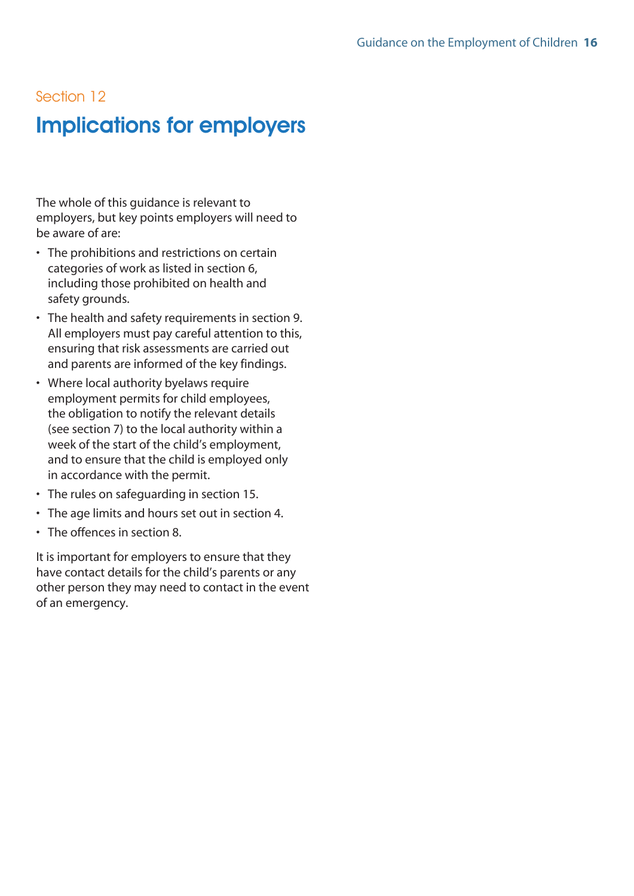# <span id="page-16-0"></span>Implications for employers

The whole of this guidance is relevant to employers, but key points employers will need to be aware of are:

- The prohibitions and restrictions on certain categories of work as listed in section 6, including those prohibited on health and safety grounds.
- The health and safety requirements in section 9. All employers must pay careful attention to this, ensuring that risk assessments are carried out and parents are informed of the key findings.
- Where local authority byelaws require employment permits for child employees, the obligation to notify the relevant details (see section 7) to the local authority within a week of the start of the child's employment, and to ensure that the child is employed only in accordance with the permit.
- The rules on safeguarding in section 15.
- The age limits and hours set out in section 4.
- The offences in section 8.

It is important for employers to ensure that they have contact details for the child's parents or any other person they may need to contact in the event of an emergency.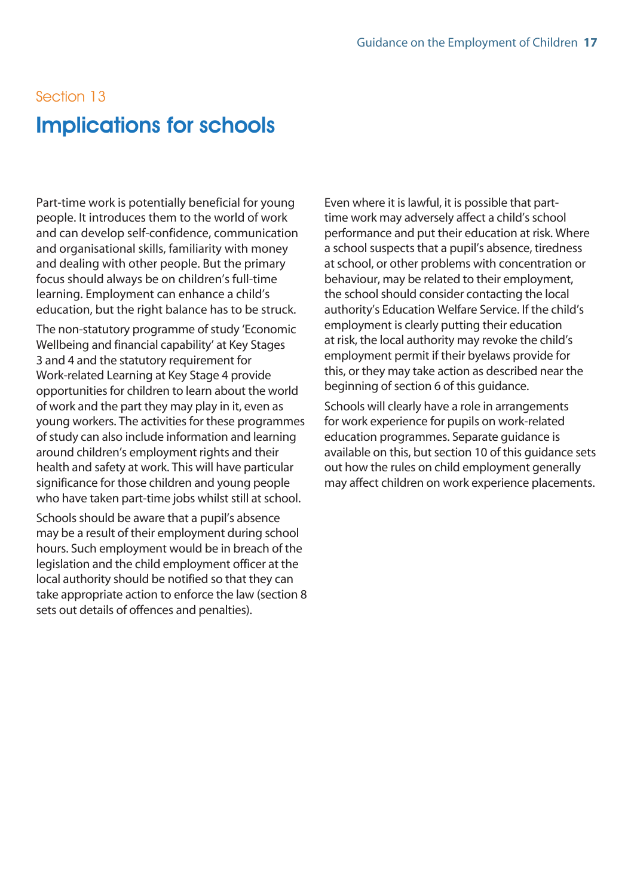# <span id="page-17-0"></span>Section 13 Implications for schools

Part-time work is potentially beneficial for young people. It introduces them to the world of work and can develop self-confidence, communication and organisational skills, familiarity with money and dealing with other people. But the primary focus should always be on children's full-time learning. Employment can enhance a child's education, but the right balance has to be struck.

The non-statutory programme of study 'Economic Wellbeing and financial capability' at Key Stages 3 and 4 and the statutory requirement for Work-related Learning at Key Stage 4 provide opportunities for children to learn about the world of work and the part they may play in it, even as young workers. The activities for these programmes of study can also include information and learning around children's employment rights and their health and safety at work. This will have particular significance for those children and young people who have taken part-time jobs whilst still at school.

Schools should be aware that a pupil's absence may be a result of their employment during school hours. Such employment would be in breach of the legislation and the child employment officer at the local authority should be notified so that they can take appropriate action to enforce the law (section 8 sets out details of offences and penalties).

Even where it is lawful, it is possible that parttime work may adversely affect a child's school performance and put their education at risk. Where a school suspects that a pupil's absence, tiredness at school, or other problems with concentration or behaviour, may be related to their employment, the school should consider contacting the local authority's Education Welfare Service. If the child's employment is clearly putting their education at risk, the local authority may revoke the child's employment permit if their byelaws provide for this, or they may take action as described near the beginning of section 6 of this guidance.

Schools will clearly have a role in arrangements for work experience for pupils on work-related education programmes. Separate guidance is available on this, but section 10 of this guidance sets out how the rules on child employment generally may affect children on work experience placements.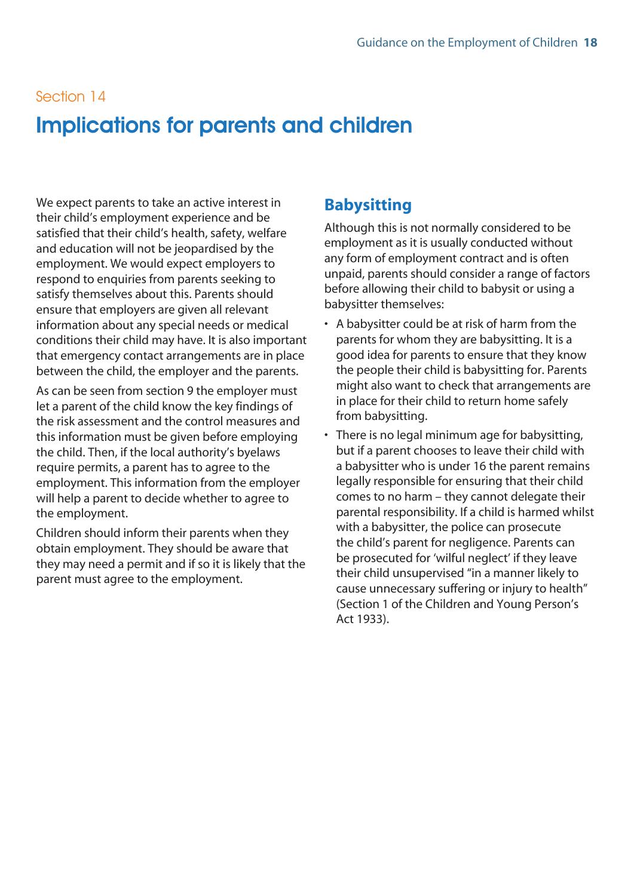# <span id="page-18-0"></span>Implications for parents and children

We expect parents to take an active interest in their child's employment experience and be satisfied that their child's health, safety, welfare and education will not be jeopardised by the employment. We would expect employers to respond to enquiries from parents seeking to satisfy themselves about this. Parents should ensure that employers are given all relevant information about any special needs or medical conditions their child may have. It is also important that emergency contact arrangements are in place between the child, the employer and the parents.

As can be seen from section 9 the employer must let a parent of the child know the key findings of the risk assessment and the control measures and this information must be given before employing the child. Then, if the local authority's byelaws require permits, a parent has to agree to the employment. This information from the employer will help a parent to decide whether to agree to the employment.

Children should inform their parents when they obtain employment. They should be aware that they may need a permit and if so it is likely that the parent must agree to the employment.

## **Babysitting**

Although this is not normally considered to be employment as it is usually conducted without any form of employment contract and is often unpaid, parents should consider a range of factors before allowing their child to babysit or using a babysitter themselves:

- A babysitter could be at risk of harm from the parents for whom they are babysitting. It is a good idea for parents to ensure that they know the people their child is babysitting for. Parents might also want to check that arrangements are in place for their child to return home safely from babysitting.
- There is no legal minimum age for babysitting, but if a parent chooses to leave their child with a babysitter who is under 16 the parent remains legally responsible for ensuring that their child comes to no harm – they cannot delegate their parental responsibility. If a child is harmed whilst with a babysitter, the police can prosecute the child's parent for negligence. Parents can be prosecuted for 'wilful neglect' if they leave their child unsupervised "in a manner likely to cause unnecessary suffering or injury to health" (Section 1 of the Children and Young Person's Act 1933).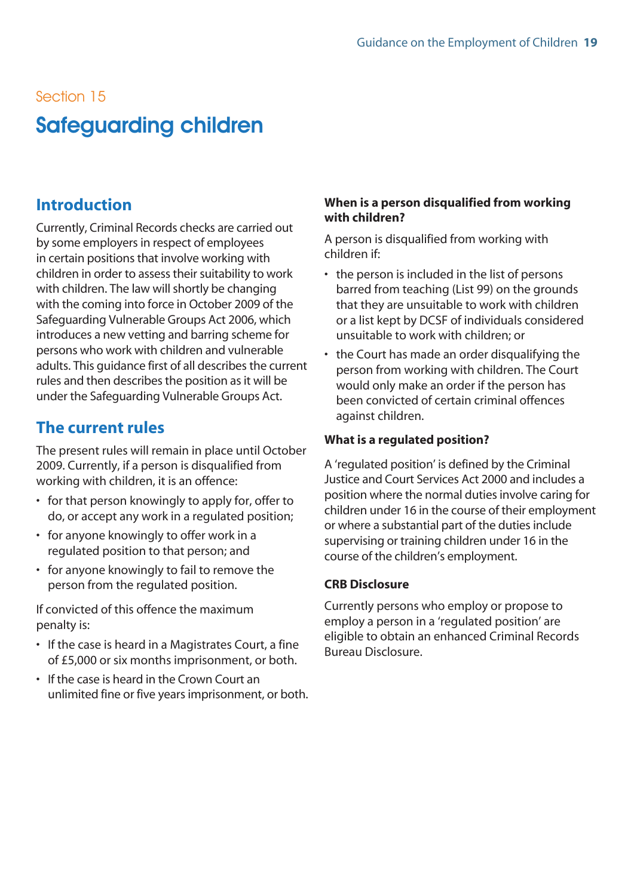# <span id="page-19-0"></span>Safeguarding children

#### **Introduction**

Currently, Criminal Records checks are carried out by some employers in respect of employees in certain positions that involve working with children in order to assess their suitability to work with children. The law will shortly be changing with the coming into force in October 2009 of the Safeguarding Vulnerable Groups Act 2006, which introduces a new vetting and barring scheme for persons who work with children and vulnerable adults. This guidance first of all describes the current rules and then describes the position as it will be under the Safeguarding Vulnerable Groups Act.

#### **The current rules**

The present rules will remain in place until October 2009. Currently, if a person is disqualified from working with children, it is an offence:

- for that person knowingly to apply for, offer to do, or accept any work in a regulated position;
- for anyone knowingly to offer work in a regulated position to that person; and
- for anyone knowingly to fail to remove the person from the regulated position.

If convicted of this offence the maximum penalty is:

- If the case is heard in a Magistrates Court, a fine of £5,000 or six months imprisonment, or both.
- If the case is heard in the Crown Court an unlimited fine or five years imprisonment, or both.

#### **When is a person disqualified from working with children?**

A person is disqualified from working with children if:

- the person is included in the list of persons barred from teaching (List 99) on the grounds that they are unsuitable to work with children or a list kept by DCSF of individuals considered unsuitable to work with children; or
- the Court has made an order disqualifying the person from working with children. The Court would only make an order if the person has been convicted of certain criminal offences against children.

#### **What is a regulated position?**

A 'regulated position' is defined by the Criminal Justice and Court Services Act 2000 and includes a position where the normal duties involve caring for children under 16 in the course of their employment or where a substantial part of the duties include supervising or training children under 16 in the course of the children's employment.

#### **CRB Disclosure**

Currently persons who employ or propose to employ a person in a 'regulated position' are eligible to obtain an enhanced Criminal Records Bureau Disclosure.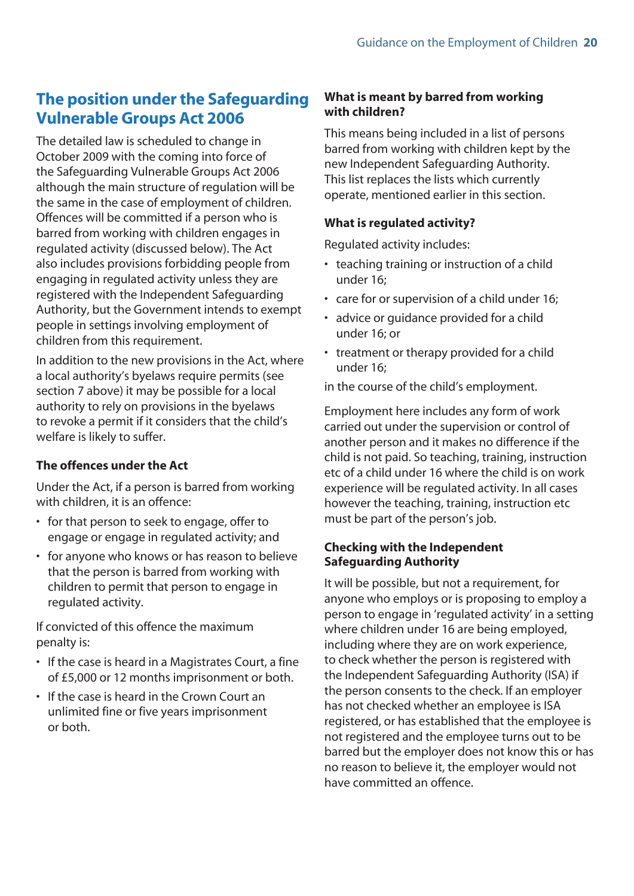### **The position under the Safeguarding Vulnerable Groups Act 2006**

The detailed law is scheduled to change in October 2009 with the coming into force of the Safeguarding Vulnerable Groups Act 2006 although the main structure of regulation will be the same in the case of employment of children. Offences will be committed if a person who is barred from working with children engages in regulated activity (discussed below). The Act also includes provisions forbidding people from engaging in regulated activity unless they are registered with the Independent Safeguarding Authority, but the Government intends to exempt people in settings involving employment of children from this requirement.

In addition to the new provisions in the Act, where a local authority's byelaws require permits (see section 7 above) it may be possible for a local authority to rely on provisions in the byelaws to revoke a permit if it considers that the child's welfare is likely to suffer.

#### **The offences under the Act**

Under the Act, if a person is barred from working with children, it is an offence:

- for that person to seek to engage, offer to engage or engage in regulated activity; and
- for anyone who knows or has reason to believe that the person is barred from working with children to permit that person to engage in regulated activity.

If convicted of this offence the maximum penalty is:

- If the case is heard in a Magistrates Court, a fine of £5,000 or 12 months imprisonment or both.
- If the case is heard in the Crown Court an unlimited fine or five years imprisonment or both.

#### **What is meant by barred from working with children?**

This means being included in a list of persons barred from working with children kept by the new Independent Safeguarding Authority. This list replaces the lists which currently operate, mentioned earlier in this section.

#### **What is regulated activity?**

Regulated activity includes:

- teaching training or instruction of a child under 16;
- care for or supervision of a child under 16;
- advice or guidance provided for a child under 16; or
- treatment or therapy provided for a child under 16;

in the course of the child's employment.

Employment here includes any form of work carried out under the supervision or control of another person and it makes no difference if the child is not paid. So teaching, training, instruction etc of a child under 16 where the child is on work experience will be regulated activity. In all cases however the teaching, training, instruction etc must be part of the person's job.

#### **Checking with the Independent Safeguarding Authority**

It will be possible, but not a requirement, for anyone who employs or is proposing to employ a person to engage in 'regulated activity' in a setting where children under 16 are being employed, including where they are on work experience, to check whether the person is registered with the Independent Safeguarding Authority (ISA) if the person consents to the check. If an employer has not checked whether an employee is ISA registered, or has established that the employee is not registered and the employee turns out to be barred but the employer does not know this or has no reason to believe it, the employer would not have committed an offence.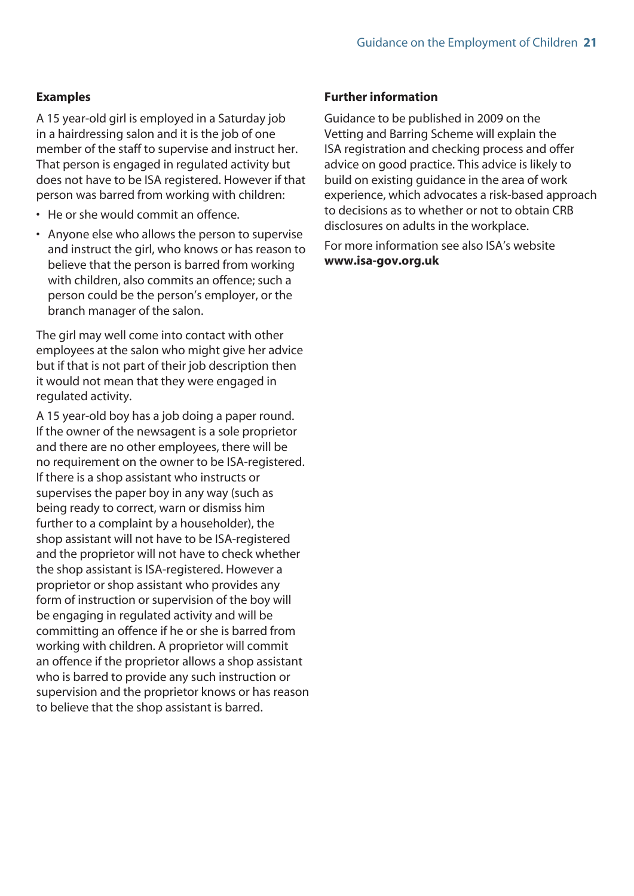#### **Examples**

A 15 year-old girl is employed in a Saturday job in a hairdressing salon and it is the job of one member of the staff to supervise and instruct her. That person is engaged in regulated activity but does not have to be ISA registered. However if that person was barred from working with children:

- He or she would commit an offence.
- Anyone else who allows the person to supervise and instruct the girl, who knows or has reason to believe that the person is barred from working with children, also commits an offence; such a person could be the person's employer, or the branch manager of the salon.

The girl may well come into contact with other employees at the salon who might give her advice but if that is not part of their job description then it would not mean that they were engaged in regulated activity.

A 15 year-old boy has a job doing a paper round. If the owner of the newsagent is a sole proprietor and there are no other employees, there will be no requirement on the owner to be ISA-registered. If there is a shop assistant who instructs or supervises the paper boy in any way (such as being ready to correct, warn or dismiss him further to a complaint by a householder), the shop assistant will not have to be ISA-registered and the proprietor will not have to check whether the shop assistant is ISA-registered. However a proprietor or shop assistant who provides any form of instruction or supervision of the boy will be engaging in regulated activity and will be committing an offence if he or she is barred from working with children. A proprietor will commit an offence if the proprietor allows a shop assistant who is barred to provide any such instruction or supervision and the proprietor knows or has reason to believe that the shop assistant is barred.

#### **Further information**

Guidance to be published in 2009 on the Vetting and Barring Scheme will explain the ISA registration and checking process and offer advice on good practice. This advice is likely to build on existing guidance in the area of work experience, which advocates a risk-based approach to decisions as to whether or not to obtain CRB disclosures on adults in the workplace.

For more information see also ISA's website **[www.isa-gov.org.uk](http://www.isa-gov.org.uk)**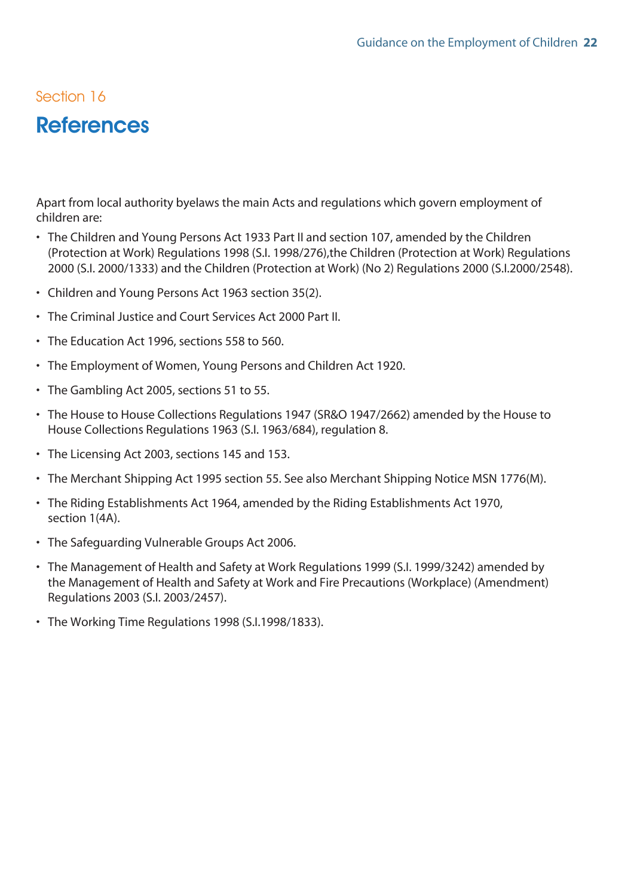# <span id="page-22-0"></span>**References**

Apart from local authority byelaws the main Acts and regulations which govern employment of children are:

- The Children and Young Persons Act 1933 Part II and section 107, amended by the Children (Protection at Work) Regulations 1998 (S.I. 1998/276),the Children (Protection at Work) Regulations 2000 (S.I. 2000/1333) and the Children (Protection at Work) (No 2) Regulations 2000 (S.I.2000/2548).
- Children and Young Persons Act 1963 section 35(2).
- The Criminal Justice and Court Services Act 2000 Part II.
- The Education Act 1996, sections 558 to 560.
- The Employment of Women, Young Persons and Children Act 1920.
- The Gambling Act 2005, sections 51 to 55.
- The House to House Collections Regulations 1947 (SR&O 1947/2662) amended by the House to House Collections Regulations 1963 (S.I. 1963/684), regulation 8.
- The Licensing Act 2003, sections 145 and 153.
- The Merchant Shipping Act 1995 section 55. See also Merchant Shipping Notice MSN 1776(M).
- The Riding Establishments Act 1964, amended by the Riding Establishments Act 1970, section 1(4A).
- The Safeguarding Vulnerable Groups Act 2006.
- The Management of Health and Safety at Work Regulations 1999 (S.I. 1999/3242) amended by the Management of Health and Safety at Work and Fire Precautions (Workplace) (Amendment) Regulations 2003 (S.I. 2003/2457).
- The Working Time Regulations 1998 (S.I.1998/1833).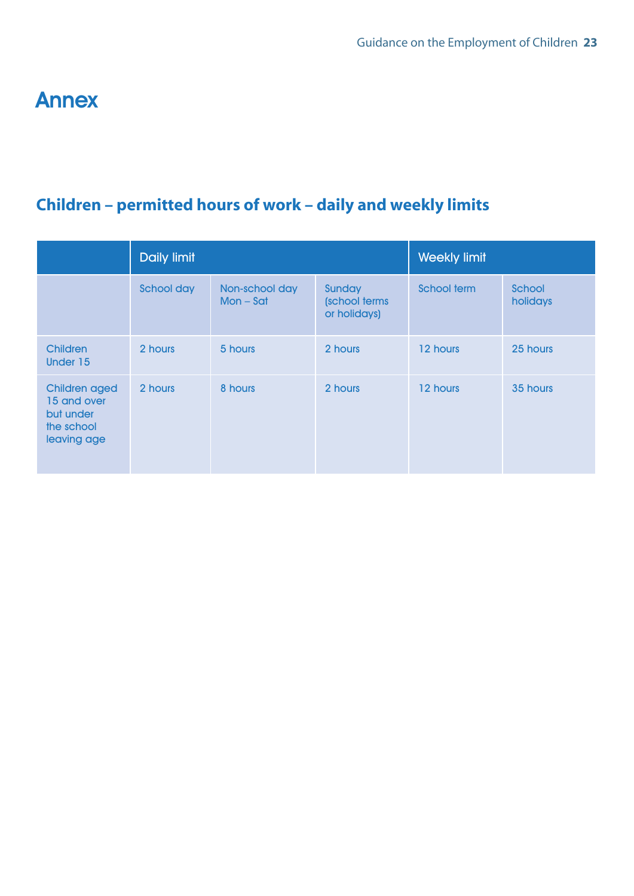# <span id="page-23-0"></span>Annex

# **Children – permitted hours of work – daily and weekly limits**

|                                                                               | <b>Daily limit</b> |                               |                                         | <b>Weekly limit</b> |                    |
|-------------------------------------------------------------------------------|--------------------|-------------------------------|-----------------------------------------|---------------------|--------------------|
|                                                                               | School day         | Non-school day<br>$Mon - Sat$ | Sunday<br>(school terms<br>or holidays) | School term         | School<br>holidays |
| <b>Children</b><br>Under 15                                                   | 2 hours            | 5 hours                       | 2 hours                                 | 12 hours            | 25 hours           |
| <b>Children aged</b><br>15 and over<br>but under<br>the school<br>leaving age | 2 hours            | 8 hours                       | 2 hours                                 | 12 hours            | 35 hours           |